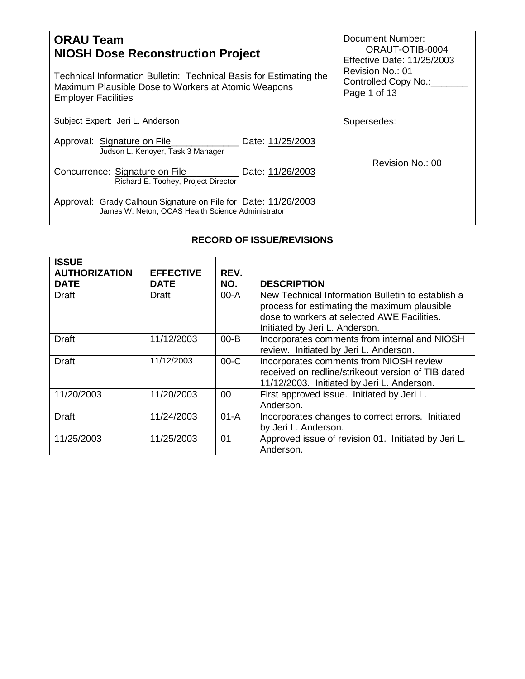| <b>ORAU Team</b><br><b>NIOSH Dose Reconstruction Project</b><br>Technical Information Bulletin: Technical Basis for Estimating the<br>Maximum Plausible Dose to Workers at Atomic Weapons<br><b>Employer Facilities</b> | <b>Document Number:</b><br>ORAUT-OTIB-0004<br><b>Effective Date: 11/25/2003</b><br>Revision No.: 01<br>Controlled Copy No.:<br>Page 1 of 13 |
|-------------------------------------------------------------------------------------------------------------------------------------------------------------------------------------------------------------------------|---------------------------------------------------------------------------------------------------------------------------------------------|
| Subject Expert: Jeri L. Anderson                                                                                                                                                                                        | Supersedes:                                                                                                                                 |
| Approval: Signature on File<br>Date: 11/25/2003<br>Judson L. Kenover, Task 3 Manager                                                                                                                                    |                                                                                                                                             |
| Concurrence: Signature on File<br>Date: 11/26/2003<br>Richard E. Toohey, Project Director                                                                                                                               | Revision No.: 00                                                                                                                            |
| Approval: Grady Calhoun Signature on File for Date: 11/26/2003<br>James W. Neton, OCAS Health Science Administrator                                                                                                     |                                                                                                                                             |

## **RECORD OF ISSUE/REVISIONS**

| <b>ISSUE</b><br><b>AUTHORIZATION</b><br><b>DATE</b> | <b>EFFECTIVE</b><br><b>DATE</b> | REV.<br>NO. | <b>DESCRIPTION</b>                                                                                                                                                                 |
|-----------------------------------------------------|---------------------------------|-------------|------------------------------------------------------------------------------------------------------------------------------------------------------------------------------------|
| <b>Draft</b>                                        | Draft                           | 00-A        | New Technical Information Bulletin to establish a<br>process for estimating the maximum plausible<br>dose to workers at selected AWE Facilities.<br>Initiated by Jeri L. Anderson. |
| Draft                                               | 11/12/2003                      | $00 - B$    | Incorporates comments from internal and NIOSH<br>review. Initiated by Jeri L. Anderson.                                                                                            |
| <b>Draft</b>                                        | 11/12/2003                      | $00-C$      | Incorporates comments from NIOSH review<br>received on redline/strikeout version of TIB dated<br>11/12/2003. Initiated by Jeri L. Anderson.                                        |
| 11/20/2003                                          | 11/20/2003                      | $00 \,$     | First approved issue. Initiated by Jeri L.<br>Anderson.                                                                                                                            |
| <b>Draft</b>                                        | 11/24/2003                      | $01-A$      | Incorporates changes to correct errors. Initiated<br>by Jeri L. Anderson.                                                                                                          |
| 11/25/2003                                          | 11/25/2003                      | 01          | Approved issue of revision 01. Initiated by Jeri L.<br>Anderson.                                                                                                                   |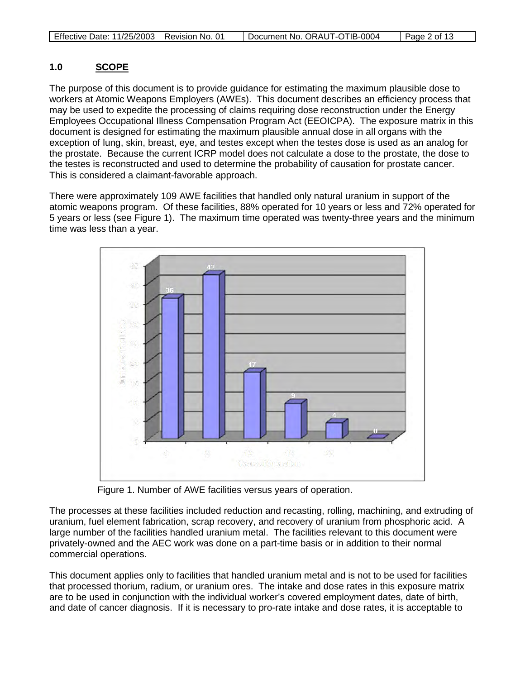| Effective Date: 11/25/2003   Revision No. 01 |  | Document No. ORAUT-OTIB-0004 | $\vert$ Page 2 of 13 |
|----------------------------------------------|--|------------------------------|----------------------|
|----------------------------------------------|--|------------------------------|----------------------|

#### **1.0 SCOPE**

The purpose of this document is to provide guidance for estimating the maximum plausible dose to workers at Atomic Weapons Employers (AWEs). This document describes an efficiency process that may be used to expedite the processing of claims requiring dose reconstruction under the Energy Employees Occupational Illness Compensation Program Act (EEOICPA). The exposure matrix in this document is designed for estimating the maximum plausible annual dose in all organs with the exception of lung, skin, breast, eye, and testes except when the testes dose is used as an analog for the prostate. Because the current ICRP model does not calculate a dose to the prostate, the dose to the testes is reconstructed and used to determine the probability of causation for prostate cancer. This is considered a claimant-favorable approach.

There were approximately 109 AWE facilities that handled only natural uranium in support of the atomic weapons program. Of these facilities, 88% operated for 10 years or less and 72% operated for 5 years or less (see Figure 1). The maximum time operated was twenty-three years and the minimum time was less than a year.



Figure 1. Number of AWE facilities versus years of operation.

The processes at these facilities included reduction and recasting, rolling, machining, and extruding of uranium, fuel element fabrication, scrap recovery, and recovery of uranium from phosphoric acid. A large number of the facilities handled uranium metal. The facilities relevant to this document were privately-owned and the AEC work was done on a part-time basis or in addition to their normal commercial operations.

This document applies only to facilities that handled uranium metal and is not to be used for facilities that processed thorium, radium, or uranium ores. The intake and dose rates in this exposure matrix are to be used in conjunction with the individual worker's covered employment dates, date of birth, and date of cancer diagnosis. If it is necessary to pro-rate intake and dose rates, it is acceptable to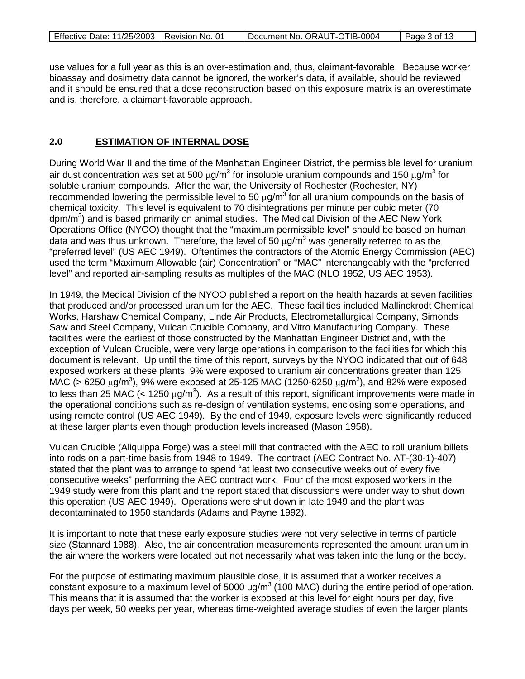| Effective Date: 11/25/2003   Revision No. 01 | Document No. ORAUT-OTIB-0004 | Page 3 of 13 |
|----------------------------------------------|------------------------------|--------------|
|                                              |                              |              |

use values for a full year as this is an over-estimation and, thus, claimant-favorable. Because worker bioassay and dosimetry data cannot be ignored, the worker's data, if available, should be reviewed and it should be ensured that a dose reconstruction based on this exposure matrix is an overestimate and is, therefore, a claimant-favorable approach.

#### **2.0 ESTIMATION OF INTERNAL DOSE**

During World War II and the time of the Manhattan Engineer District, the permissible level for uranium air dust concentration was set at 500  $\mu$ g/m<sup>3</sup> for insoluble uranium compounds and 150  $\mu$ g/m<sup>3</sup> for soluble uranium compounds. After the war, the University of Rochester (Rochester, NY) recommended lowering the permissible level to 50  $\mu$ g/m<sup>3</sup> for all uranium compounds on the basis of chemical toxicity. This level is equivalent to 70 disintegrations per minute per cubic meter (70 dpm/m<sup>3</sup>) and is based primarily on animal studies. The Medical Division of the AEC New York Operations Office (NYOO) thought that the "maximum permissible level" should be based on human data and was thus unknown. Therefore, the level of 50  $\mu$ g/m<sup>3</sup> was generally referred to as the "preferred level" (US AEC 1949). Oftentimes the contractors of the Atomic Energy Commission (AEC) used the term "Maximum Allowable (air) Concentration" or "MAC" interchangeably with the "preferred level" and reported air-sampling results as multiples of the MAC (NLO 1952, US AEC 1953).

In 1949, the Medical Division of the NYOO published a report on the health hazards at seven facilities that produced and/or processed uranium for the AEC. These facilities included Mallinckrodt Chemical Works, Harshaw Chemical Company, Linde Air Products, Electrometallurgical Company, Simonds Saw and Steel Company, Vulcan Crucible Company, and Vitro Manufacturing Company. These facilities were the earliest of those constructed by the Manhattan Engineer District and, with the exception of Vulcan Crucible, were very large operations in comparison to the facilities for which this document is relevant. Up until the time of this report, surveys by the NYOO indicated that out of 648 exposed workers at these plants, 9% were exposed to uranium air concentrations greater than 125 MAC (> 6250  $\mu$ g/m<sup>3</sup>), 9% were exposed at 25-125 MAC (1250-6250  $\mu$ g/m<sup>3</sup>), and 82% were exposed to less than 25 MAC (< 1250  $\mu$ g/m<sup>3</sup>). As a result of this report, significant improvements were made in the operational conditions such as re-design of ventilation systems, enclosing some operations, and using remote control (US AEC 1949). By the end of 1949, exposure levels were significantly reduced at these larger plants even though production levels increased (Mason 1958).

Vulcan Crucible (Aliquippa Forge) was a steel mill that contracted with the AEC to roll uranium billets into rods on a part-time basis from 1948 to 1949. The contract (AEC Contract No. AT-(30-1)-407) stated that the plant was to arrange to spend "at least two consecutive weeks out of every five consecutive weeks" performing the AEC contract work. Four of the most exposed workers in the 1949 study were from this plant and the report stated that discussions were under way to shut down this operation (US AEC 1949). Operations were shut down in late 1949 and the plant was decontaminated to 1950 standards (Adams and Payne 1992).

It is important to note that these early exposure studies were not very selective in terms of particle size (Stannard 1988). Also, the air concentration measurements represented the amount uranium in the air where the workers were located but not necessarily what was taken into the lung or the body.

For the purpose of estimating maximum plausible dose, it is assumed that a worker receives a constant exposure to a maximum level of 5000 ug/ $m<sup>3</sup>$  (100 MAC) during the entire period of operation. This means that it is assumed that the worker is exposed at this level for eight hours per day, five days per week, 50 weeks per year, whereas time-weighted average studies of even the larger plants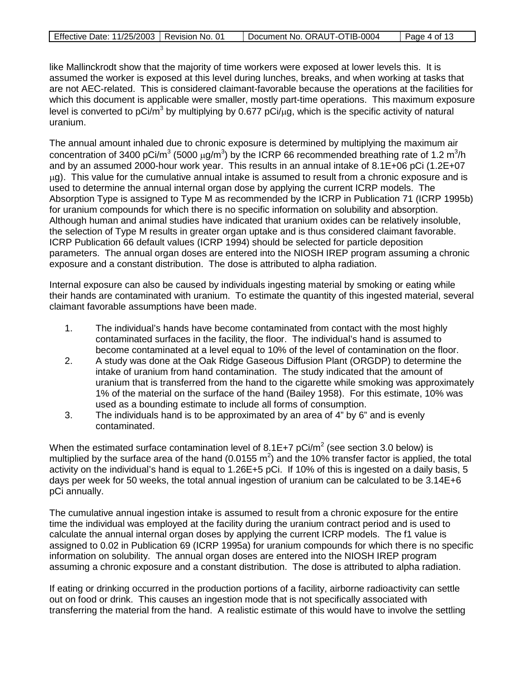| Effective Date: 11/25/2003   Revision No. 01 | Document No. ORAUT-OTIB-0004 | Page 4 of 13 |
|----------------------------------------------|------------------------------|--------------|
|                                              |                              |              |

like Mallinckrodt show that the majority of time workers were exposed at lower levels this. It is assumed the worker is exposed at this level during lunches, breaks, and when working at tasks that are not AEC-related. This is considered claimant-favorable because the operations at the facilities for which this document is applicable were smaller, mostly part-time operations. This maximum exposure level is converted to pCi/m<sup>3</sup> by multiplying by 0.677 pCi/ $\mu$ g, which is the specific activity of natural uranium.

The annual amount inhaled due to chronic exposure is determined by multiplying the maximum air concentration of 3400 pCi/m<sup>3</sup> (5000  $\mu$ g/m<sup>3</sup>) by the ICRP 66 recommended breathing rate of 1.2 m<sup>3</sup>/h and by an assumed 2000-hour work year. This results in an annual intake of 8.1E+06 pCi (1.2E+07  $\mu$ g). This value for the cumulative annual intake is assumed to result from a chronic exposure and is used to determine the annual internal organ dose by applying the current ICRP models. The Absorption Type is assigned to Type M as recommended by the ICRP in Publication 71 (ICRP 1995b) for uranium compounds for which there is no specific information on solubility and absorption. Although human and animal studies have indicated that uranium oxides can be relatively insoluble, the selection of Type M results in greater organ uptake and is thus considered claimant favorable. ICRP Publication 66 default values (ICRP 1994) should be selected for particle deposition parameters. The annual organ doses are entered into the NIOSH IREP program assuming a chronic exposure and a constant distribution. The dose is attributed to alpha radiation.

Internal exposure can also be caused by individuals ingesting material by smoking or eating while their hands are contaminated with uranium. To estimate the quantity of this ingested material, several claimant favorable assumptions have been made.

- 1. The individual's hands have become contaminated from contact with the most highly contaminated surfaces in the facility, the floor. The individual's hand is assumed to become contaminated at a level equal to 10% of the level of contamination on the floor.
- 2. A study was done at the Oak Ridge Gaseous Diffusion Plant (ORGDP) to determine the intake of uranium from hand contamination. The study indicated that the amount of uranium that is transferred from the hand to the cigarette while smoking was approximately 1% of the material on the surface of the hand (Bailey 1958). For this estimate, 10% was used as a bounding estimate to include all forms of consumption.
- 3. The individuals hand is to be approximated by an area of 4" by 6" and is evenly contaminated.

When the estimated surface contamination level of 8.1E+7  $pCi/m^2$  (see section 3.0 below) is multiplied by the surface area of the hand (0.0155  $m^2$ ) and the 10% transfer factor is applied, the total activity on the individual's hand is equal to 1.26E+5 pCi. If 10% of this is ingested on a daily basis, 5 days per week for 50 weeks, the total annual ingestion of uranium can be calculated to be 3.14E+6 pCi annually.

The cumulative annual ingestion intake is assumed to result from a chronic exposure for the entire time the individual was employed at the facility during the uranium contract period and is used to calculate the annual internal organ doses by applying the current ICRP models. The f1 value is assigned to 0.02 in Publication 69 (ICRP 1995a) for uranium compounds for which there is no specific information on solubility. The annual organ doses are entered into the NIOSH IREP program assuming a chronic exposure and a constant distribution. The dose is attributed to alpha radiation.

If eating or drinking occurred in the production portions of a facility, airborne radioactivity can settle out on food or drink. This causes an ingestion mode that is not specifically associated with transferring the material from the hand. A realistic estimate of this would have to involve the settling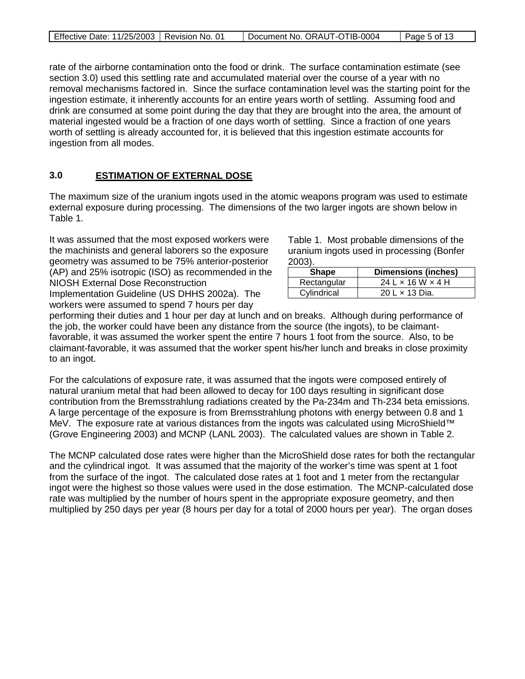| Effective Date: 11/25/2003   Revision No. 01 | Document No. ORAUT-OTIB-0004 | Page 5 of 13 |
|----------------------------------------------|------------------------------|--------------|
|                                              |                              |              |

rate of the airborne contamination onto the food or drink. The surface contamination estimate (see section 3.0) used this settling rate and accumulated material over the course of a year with no removal mechanisms factored in. Since the surface contamination level was the starting point for the ingestion estimate, it inherently accounts for an entire years worth of settling. Assuming food and drink are consumed at some point during the day that they are brought into the area, the amount of material ingested would be a fraction of one days worth of settling. Since a fraction of one years worth of settling is already accounted for, it is believed that this ingestion estimate accounts for ingestion from all modes.

#### **3.0 ESTIMATION OF EXTERNAL DOSE**

The maximum size of the uranium ingots used in the atomic weapons program was used to estimate external exposure during processing. The dimensions of the two larger ingots are shown below in Table 1.

It was assumed that the most exposed workers were the machinists and general laborers so the exposure geometry was assumed to be 75% anterior-posterior (AP) and 25% isotropic (ISO) as recommended in the NIOSH External Dose Reconstruction Implementation Guideline (US DHHS 2002a). The

workers were assumed to spend 7 hours per day

Table 1. Most probable dimensions of the uranium ingots used in processing (Bonfer 2003).

| <b>Shape</b> | <b>Dimensions (inches)</b>        |
|--------------|-----------------------------------|
| Rectangular  | $24$ L $\times$ 16 W $\times$ 4 H |
| Cylindrical  | 20 L x 13 Dia.                    |

performing their duties and 1 hour per day at lunch and on breaks. Although during performance of the job, the worker could have been any distance from the source (the ingots), to be claimantfavorable, it was assumed the worker spent the entire 7 hours 1 foot from the source. Also, to be claimant-favorable, it was assumed that the worker spent his/her lunch and breaks in close proximity to an ingot.

For the calculations of exposure rate, it was assumed that the ingots were composed entirely of natural uranium metal that had been allowed to decay for 100 days resulting in significant dose contribution from the Bremsstrahlung radiations created by the Pa-234m and Th-234 beta emissions. A large percentage of the exposure is from Bremsstrahlung photons with energy between 0.8 and 1 MeV. The exposure rate at various distances from the ingots was calculated using MicroShield™ (Grove Engineering 2003) and MCNP (LANL 2003). The calculated values are shown in Table 2.

The MCNP calculated dose rates were higher than the MicroShield dose rates for both the rectangular and the cylindrical ingot. It was assumed that the majority of the worker's time was spent at 1 foot from the surface of the ingot. The calculated dose rates at 1 foot and 1 meter from the rectangular ingot were the highest so those values were used in the dose estimation. The MCNP-calculated dose rate was multiplied by the number of hours spent in the appropriate exposure geometry, and then multiplied by 250 days per year (8 hours per day for a total of 2000 hours per year). The organ doses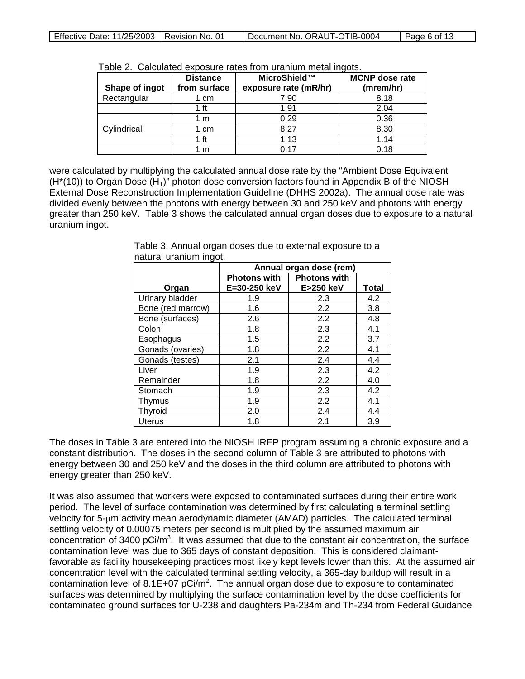| Shape of ingot | <b>Distance</b><br>from surface | MicroShield™<br>exposure rate (mR/hr) | <b>MCNP</b> dose rate<br>(mrem/hr) |
|----------------|---------------------------------|---------------------------------------|------------------------------------|
| Rectangular    | l cm                            | 7.90                                  | 8.18                               |
|                | 1 ft                            | 1.91                                  | 2.04                               |
|                | 1 m                             | 0.29                                  | 0.36                               |
| Cylindrical    | 1 cm                            | 8.27                                  | 8.30                               |
|                | 1 ft                            | 1.13                                  | 1.14                               |
|                | m                               | በ 17                                  | 0.18                               |

Table 2. Calculated exposure rates from uranium metal ingots.

were calculated by multiplying the calculated annual dose rate by the "Ambient Dose Equivalent  $(H<sup>*</sup>(10))$  to Organ Dose  $(H<sub>T</sub>)$ " photon dose conversion factors found in Appendix B of the NIOSH External Dose Reconstruction Implementation Guideline (DHHS 2002a). The annual dose rate was divided evenly between the photons with energy between 30 and 250 keV and photons with energy greater than 250 keV. Table 3 shows the calculated annual organ doses due to exposure to a natural uranium ingot.

|                   | Annual organ dose (rem) |                     |              |
|-------------------|-------------------------|---------------------|--------------|
|                   | <b>Photons with</b>     | <b>Photons with</b> |              |
| Organ             | E=30-250 keV            | E>250 keV           | <b>Total</b> |
| Urinary bladder   | 1.9                     | 2.3                 | 4.2          |
| Bone (red marrow) | 1.6                     | 2.2                 | 3.8          |
| Bone (surfaces)   | 2.6                     | 2.2                 | 4.8          |
| Colon             | 1.8                     | 2.3                 | 4.1          |
| Esophagus         | 1.5                     | 2.2                 | 3.7          |
| Gonads (ovaries)  | 1.8                     | 2.2                 | 4.1          |
| Gonads (testes)   | 2.1                     | 2.4                 | 4.4          |
| Liver             | 1.9                     | 2.3                 | 4.2          |
| Remainder         | 1.8                     | 2.2                 | 4.0          |
| Stomach           | 1.9                     | 2.3                 | 4.2          |
| Thymus            | 1.9                     | 2.2                 | 4.1          |
| Thyroid           | 2.0                     | 2.4                 | 4.4          |
| Uterus            | 1.8                     | 2.1                 | 3.9          |

Table 3. Annual organ doses due to external exposure to a natural uranium ingot.

The doses in Table 3 are entered into the NIOSH IREP program assuming a chronic exposure and a constant distribution. The doses in the second column of Table 3 are attributed to photons with energy between 30 and 250 keV and the doses in the third column are attributed to photons with energy greater than 250 keV.

It was also assumed that workers were exposed to contaminated surfaces during their entire work period. The level of surface contamination was determined by first calculating a terminal settling velocity for 5-µm activity mean aerodynamic diameter (AMAD) particles. The calculated terminal settling velocity of 0.00075 meters per second is multiplied by the assumed maximum air concentration of 3400 pCi/m<sup>3</sup>. It was assumed that due to the constant air concentration, the surface contamination level was due to 365 days of constant deposition. This is considered claimantfavorable as facility housekeeping practices most likely kept levels lower than this. At the assumed air concentration level with the calculated terminal settling velocity, a 365-day buildup will result in a contamination level of 8.1E+07 pCi/m<sup>2</sup>. The annual organ dose due to exposure to contaminated surfaces was determined by multiplying the surface contamination level by the dose coefficients for contaminated ground surfaces for U-238 and daughters Pa-234m and Th-234 from Federal Guidance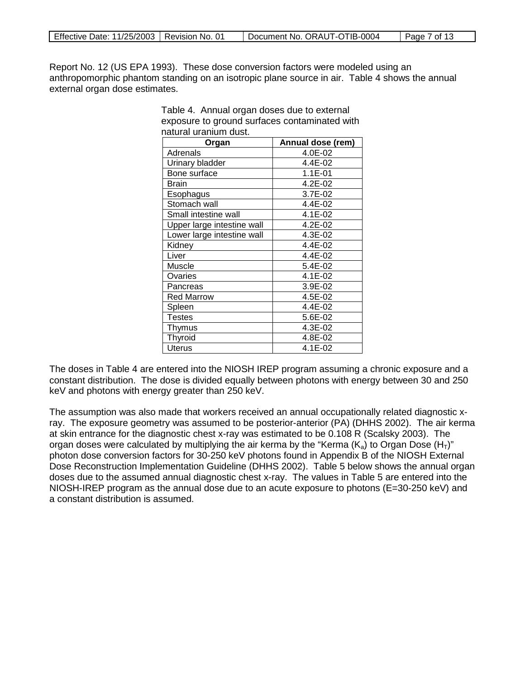| Effective Date: 11/25/2003   Revision No. 01 |  | Document No. ORAUT-OTIB-0004 | $\vert$ Page 7 of 13 |
|----------------------------------------------|--|------------------------------|----------------------|
|----------------------------------------------|--|------------------------------|----------------------|

Report No. 12 (US EPA 1993). These dose conversion factors were modeled using an anthropomorphic phantom standing on an isotropic plane source in air. Table 4 shows the annual external organ dose estimates.

| naturai uranium dust.      | Annual dose (rem) |
|----------------------------|-------------------|
| Organ                      |                   |
| Adrenals                   | 4.0E-02           |
| Urinary bladder            | 4.4E-02           |
| Bone surface               | $1.1E-01$         |
| <b>Brain</b>               | $4.2E - 02$       |
| Esophagus                  | 3.7E-02           |
| Stomach wall               | 4.4E-02           |
| Small intestine wall       | 4.1E-02           |
| Upper large intestine wall | 4.2E-02           |
| Lower large intestine wall | 4.3E-02           |
| Kidney                     | 4.4E-02           |
| Liver                      | 4.4E-02           |
| Muscle                     | 5.4E-02           |
| Ovaries                    | 4.1E-02           |
| Pancreas                   | 3.9E-02           |
| <b>Red Marrow</b>          | 4.5E-02           |
| Spleen                     | 4.4E-02           |
| Testes                     | 5.6E-02           |
| Thymus                     | 4.3E-02           |
| Thyroid                    | 4.8E-02           |
| <b>Uterus</b>              | 4.1E-02           |

Table 4. Annual organ doses due to external exposure to ground surfaces contaminated with natural uranium dust.

The doses in Table 4 are entered into the NIOSH IREP program assuming a chronic exposure and a constant distribution. The dose is divided equally between photons with energy between 30 and 250 keV and photons with energy greater than 250 keV.

The assumption was also made that workers received an annual occupationally related diagnostic xray. The exposure geometry was assumed to be posterior-anterior (PA) (DHHS 2002). The air kerma at skin entrance for the diagnostic chest x-ray was estimated to be 0.108 R (Scalsky 2003). The organ doses were calculated by multiplying the air kerma by the "Kerma  $(K_a)$  to Organ Dose  $(H_T)$ " photon dose conversion factors for 30-250 keV photons found in Appendix B of the NIOSH External Dose Reconstruction Implementation Guideline (DHHS 2002). Table 5 below shows the annual organ doses due to the assumed annual diagnostic chest x-ray. The values in Table 5 are entered into the NIOSH-IREP program as the annual dose due to an acute exposure to photons (E=30-250 keV) and a constant distribution is assumed.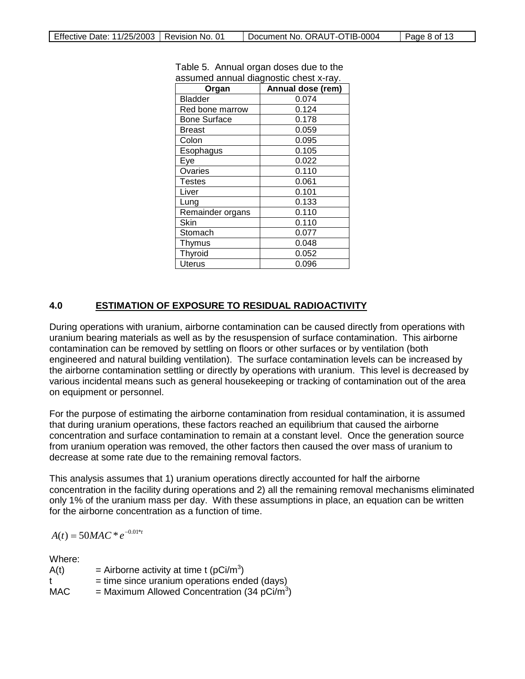| Organ               | Annual dose (rem) |
|---------------------|-------------------|
| <b>Bladder</b>      | 0.074             |
| Red bone marrow     | 0.124             |
| <b>Bone Surface</b> | 0.178             |
| <b>Breast</b>       | 0.059             |
| Colon               | 0.095             |
| Esophagus           | 0.105             |
| Eye                 | 0.022             |
| Ovaries             | 0.110             |
| Testes              | 0.061             |
| Liver               | 0.101             |
| Lung                | 0.133             |
| Remainder organs    | 0.110             |
| Skin                | 0.110             |
| Stomach             | 0.077             |
| Thymus              | 0.048             |
| <b>Thyroid</b>      | 0.052             |
| <b>Uterus</b>       | 0.096             |

Table 5. Annual organ doses due to the assumed annual diagnostic chest x-ray.

#### **4.0 ESTIMATION OF EXPOSURE TO RESIDUAL RADIOACTIVITY**

During operations with uranium, airborne contamination can be caused directly from operations with uranium bearing materials as well as by the resuspension of surface contamination. This airborne contamination can be removed by settling on floors or other surfaces or by ventilation (both engineered and natural building ventilation). The surface contamination levels can be increased by the airborne contamination settling or directly by operations with uranium. This level is decreased by various incidental means such as general housekeeping or tracking of contamination out of the area on equipment or personnel.

For the purpose of estimating the airborne contamination from residual contamination, it is assumed that during uranium operations, these factors reached an equilibrium that caused the airborne concentration and surface contamination to remain at a constant level. Once the generation source from uranium operation was removed, the other factors then caused the over mass of uranium to decrease at some rate due to the remaining removal factors.

This analysis assumes that 1) uranium operations directly accounted for half the airborne concentration in the facility during operations and 2) all the remaining removal mechanisms eliminated only 1% of the uranium mass per day. With these assumptions in place, an equation can be written for the airborne concentration as a function of time.

 $A(t) = 50MAC * e^{-0.01* t}$ 

Where:

| A(t) | = Airborne activity at time t ( $pCi/m^3$ )              |
|------|----------------------------------------------------------|
| t    | $=$ time since uranium operations ended (days)           |
| MAC. | = Maximum Allowed Concentration (34 pCi/m <sup>3</sup> ) |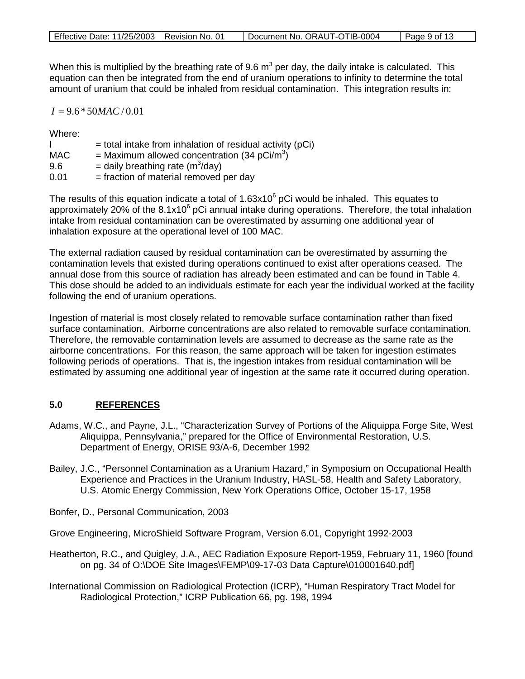|  | Effective Date: 11/25/2003   Revision No. 01 |  | Document No. ORAUT-OTIB-0004 | $\vert$ Page 9 of 13 |
|--|----------------------------------------------|--|------------------------------|----------------------|
|--|----------------------------------------------|--|------------------------------|----------------------|

When this is multiplied by the breathing rate of 9.6  $m<sup>3</sup>$  per day, the daily intake is calculated. This equation can then be integrated from the end of uranium operations to infinity to determine the total amount of uranium that could be inhaled from residual contamination. This integration results in:

 $I = 9.6 * 50$ *MAC* / 0.01

Where:

|            | $=$ total intake from inhalation of residual activity (pCi) |
|------------|-------------------------------------------------------------|
| <b>MAC</b> | = Maximum allowed concentration (34 pCi/m <sup>3</sup> )    |
| 9.6        | = daily breathing rate ( $m^3$ /day)                        |
| 0.01       | = fraction of material removed per day                      |

The results of this equation indicate a total of  $1.63x10^6$  pCi would be inhaled. This equates to approximately 20% of the  $8.1x10^6$  pCi annual intake during operations. Therefore, the total inhalation intake from residual contamination can be overestimated by assuming one additional year of inhalation exposure at the operational level of 100 MAC.

The external radiation caused by residual contamination can be overestimated by assuming the contamination levels that existed during operations continued to exist after operations ceased. The annual dose from this source of radiation has already been estimated and can be found in Table 4. This dose should be added to an individuals estimate for each year the individual worked at the facility following the end of uranium operations.

Ingestion of material is most closely related to removable surface contamination rather than fixed surface contamination. Airborne concentrations are also related to removable surface contamination. Therefore, the removable contamination levels are assumed to decrease as the same rate as the airborne concentrations. For this reason, the same approach will be taken for ingestion estimates following periods of operations. That is, the ingestion intakes from residual contamination will be estimated by assuming one additional year of ingestion at the same rate it occurred during operation.

#### **5.0 REFERENCES**

- Adams, W.C., and Payne, J.L., "Characterization Survey of Portions of the Aliquippa Forge Site, West Aliquippa, Pennsylvania," prepared for the Office of Environmental Restoration, U.S. Department of Energy, ORISE 93/A-6, December 1992
- Bailey, J.C., "Personnel Contamination as a Uranium Hazard," in Symposium on Occupational Health Experience and Practices in the Uranium Industry, HASL-58, Health and Safety Laboratory, U.S. Atomic Energy Commission, New York Operations Office, October 15-17, 1958

Bonfer, D., Personal Communication, 2003

Grove Engineering, MicroShield Software Program, Version 6.01, Copyright 1992-2003

- Heatherton, R.C., and Quigley, J.A., AEC Radiation Exposure Report-1959, February 11, 1960 [found on pg. 34 of O:\DOE Site Images\FEMP\09-17-03 Data Capture\010001640.pdf]
- International Commission on Radiological Protection (ICRP), "Human Respiratory Tract Model for Radiological Protection," ICRP Publication 66, pg. 198, 1994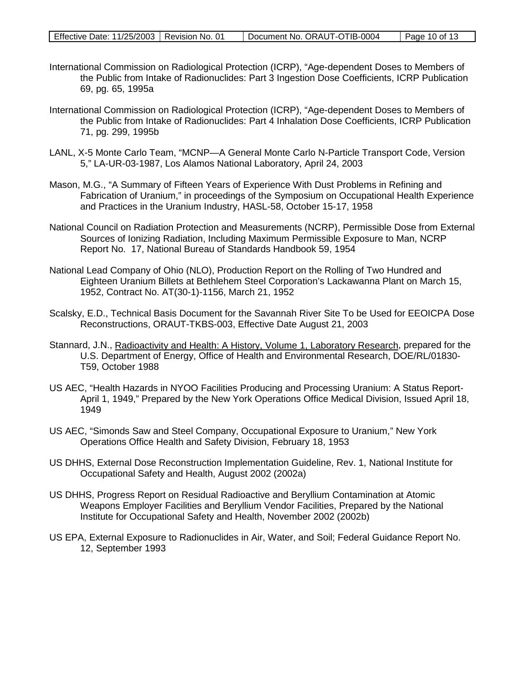|  |  | Effective Date: 11/25/2003   Revision No. 01 |  | Document No. ORAUT-OTIB-0004 | Page 10 of 13 |
|--|--|----------------------------------------------|--|------------------------------|---------------|
|--|--|----------------------------------------------|--|------------------------------|---------------|

- International Commission on Radiological Protection (ICRP), "Age-dependent Doses to Members of the Public from Intake of Radionuclides: Part 3 Ingestion Dose Coefficients, ICRP Publication 69, pg. 65, 1995a
- International Commission on Radiological Protection (ICRP), "Age-dependent Doses to Members of the Public from Intake of Radionuclides: Part 4 Inhalation Dose Coefficients, ICRP Publication 71, pg. 299, 1995b
- LANL, X-5 Monte Carlo Team, "MCNP—A General Monte Carlo N-Particle Transport Code, Version 5," LA-UR-03-1987, Los Alamos National Laboratory, April 24, 2003
- Mason, M.G., "A Summary of Fifteen Years of Experience With Dust Problems in Refining and Fabrication of Uranium," in proceedings of the Symposium on Occupational Health Experience and Practices in the Uranium Industry, HASL-58, October 15-17, 1958
- National Council on Radiation Protection and Measurements (NCRP), Permissible Dose from External Sources of Ionizing Radiation, Including Maximum Permissible Exposure to Man, NCRP Report No. 17, National Bureau of Standards Handbook 59, 1954
- National Lead Company of Ohio (NLO), Production Report on the Rolling of Two Hundred and Eighteen Uranium Billets at Bethlehem Steel Corporation's Lackawanna Plant on March 15, 1952, Contract No. AT(30-1)-1156, March 21, 1952
- Scalsky, E.D., Technical Basis Document for the Savannah River Site To be Used for EEOICPA Dose Reconstructions, ORAUT-TKBS-003, Effective Date August 21, 2003
- Stannard, J.N., *Radioactivity and Health: A History, Volume 1, Laboratory Research, prepared for the* U.S. Department of Energy, Office of Health and Environmental Research, DOE/RL/01830- T59, October 1988
- US AEC, "Health Hazards in NYOO Facilities Producing and Processing Uranium: A Status Report-April 1, 1949," Prepared by the New York Operations Office Medical Division, Issued April 18, 1949
- US AEC, "Simonds Saw and Steel Company, Occupational Exposure to Uranium," New York Operations Office Health and Safety Division, February 18, 1953
- US DHHS, External Dose Reconstruction Implementation Guideline, Rev. 1, National Institute for Occupational Safety and Health, August 2002 (2002a)
- US DHHS, Progress Report on Residual Radioactive and Beryllium Contamination at Atomic Weapons Employer Facilities and Beryllium Vendor Facilities, Prepared by the National Institute for Occupational Safety and Health, November 2002 (2002b)
- US EPA, External Exposure to Radionuclides in Air, Water, and Soil; Federal Guidance Report No. 12, September 1993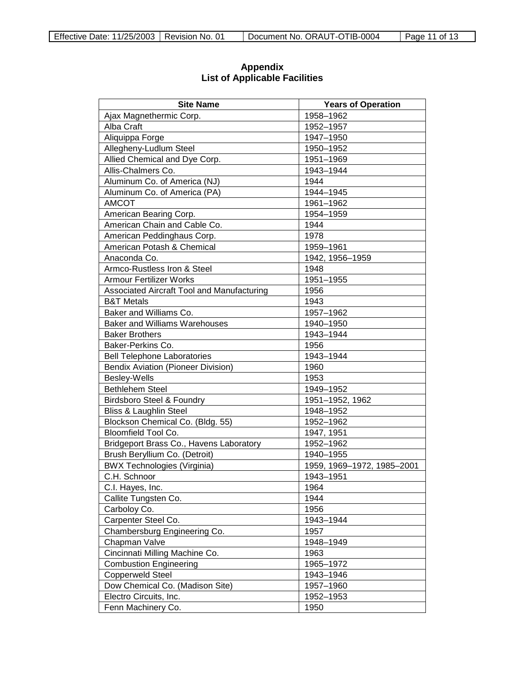| <b>Site Name</b>                           | <b>Years of Operation</b>  |
|--------------------------------------------|----------------------------|
| Ajax Magnethermic Corp.                    | 1958-1962                  |
| Alba Craft                                 | 1952-1957                  |
| Aliquippa Forge                            | 1947-1950                  |
| Allegheny-Ludlum Steel                     | 1950-1952                  |
| Allied Chemical and Dye Corp.              | 1951-1969                  |
| Allis-Chalmers Co.                         | 1943-1944                  |
| Aluminum Co. of America (NJ)               | 1944                       |
| Aluminum Co. of America (PA)               | 1944-1945                  |
| <b>AMCOT</b>                               | 1961-1962                  |
| American Bearing Corp.                     | 1954-1959                  |
| American Chain and Cable Co.               | 1944                       |
| American Peddinghaus Corp.                 | 1978                       |
| American Potash & Chemical                 | 1959-1961                  |
| Anaconda Co.                               | 1942, 1956-1959            |
| Armco-Rustless Iron & Steel                | 1948                       |
| <b>Armour Fertilizer Works</b>             | 1951-1955                  |
| Associated Aircraft Tool and Manufacturing | 1956                       |
| <b>B&amp;T Metals</b>                      | 1943                       |
| Baker and Williams Co.                     | 1957-1962                  |
| <b>Baker and Williams Warehouses</b>       | 1940-1950                  |
| <b>Baker Brothers</b>                      | 1943-1944                  |
| Baker-Perkins Co.                          | 1956                       |
| <b>Bell Telephone Laboratories</b>         | 1943-1944                  |
| <b>Bendix Aviation (Pioneer Division)</b>  | 1960                       |
| Besley-Wells                               | 1953                       |
| <b>Bethlehem Steel</b>                     | 1949-1952                  |
| <b>Birdsboro Steel &amp; Foundry</b>       | 1951-1952, 1962            |
| <b>Bliss &amp; Laughlin Steel</b>          | 1948-1952                  |
| Blockson Chemical Co. (Bldg. 55)           | 1952-1962                  |
| Bloomfield Tool Co.                        | 1947, 1951                 |
| Bridgeport Brass Co., Havens Laboratory    | 1952-1962                  |
| Brush Beryllium Co. (Detroit)              | 1940-1955                  |
| <b>BWX Technologies (Virginia)</b>         | 1959, 1969-1972, 1985-2001 |
| C.H. Schnoor                               | 1943-1951                  |
| C.I. Hayes, Inc.                           | 1964                       |
| Callite Tungsten Co.                       | 1944                       |
| Carboloy Co.                               | 1956                       |
| Carpenter Steel Co.                        | 1943-1944                  |
| Chambersburg Engineering Co.               | 1957                       |
| Chapman Valve                              | 1948-1949                  |
| Cincinnati Milling Machine Co.             | 1963                       |
| <b>Combustion Engineering</b>              | 1965-1972                  |
| <b>Copperweld Steel</b>                    | 1943-1946                  |
| Dow Chemical Co. (Madison Site)            | 1957-1960                  |
| Electro Circuits, Inc.                     | 1952-1953                  |
| Fenn Machinery Co.                         | 1950                       |

### **Appendix List of Applicable Facilities**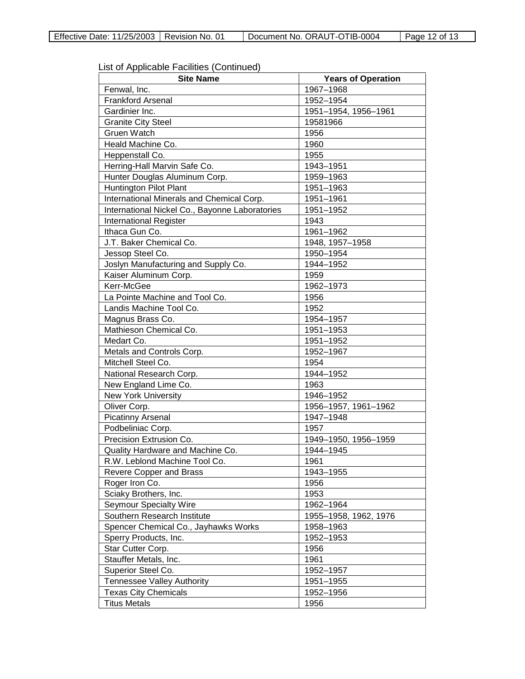| List of Applicable Facilities (Continued) |  |
|-------------------------------------------|--|
|-------------------------------------------|--|

| <b>Site Name</b>                               | <b>Years of Operation</b> |
|------------------------------------------------|---------------------------|
| Fenwal, Inc.                                   | 1967-1968                 |
| <b>Frankford Arsenal</b>                       | 1952-1954                 |
| Gardinier Inc.                                 | 1951-1954, 1956-1961      |
| <b>Granite City Steel</b>                      | 19581966                  |
| <b>Gruen Watch</b>                             | 1956                      |
| Heald Machine Co.                              | 1960                      |
| Heppenstall Co.                                | 1955                      |
| Herring-Hall Marvin Safe Co.                   | 1943-1951                 |
| Hunter Douglas Aluminum Corp.                  | 1959-1963                 |
| <b>Huntington Pilot Plant</b>                  | 1951-1963                 |
| International Minerals and Chemical Corp.      | 1951-1961                 |
| International Nickel Co., Bayonne Laboratories | 1951-1952                 |
| <b>International Register</b>                  | 1943                      |
| Ithaca Gun Co.                                 | 1961-1962                 |
| J.T. Baker Chemical Co.                        | 1948, 1957-1958           |
| Jessop Steel Co.                               | 1950-1954                 |
| Joslyn Manufacturing and Supply Co.            | 1944-1952                 |
| Kaiser Aluminum Corp.                          | 1959                      |
| Kerr-McGee                                     | 1962-1973                 |
| La Pointe Machine and Tool Co.                 | 1956                      |
| Landis Machine Tool Co.                        | 1952                      |
| Magnus Brass Co.                               | 1954-1957                 |
| Mathieson Chemical Co.                         | 1951-1953                 |
| Medart Co.                                     | 1951-1952                 |
| Metals and Controls Corp.                      | 1952-1967                 |
| Mitchell Steel Co.                             | 1954                      |
| National Research Corp.                        | 1944-1952                 |
| New England Lime Co.                           | 1963                      |
| <b>New York University</b>                     | 1946-1952                 |
| Oliver Corp.                                   | 1956-1957, 1961-1962      |
| <b>Picatinny Arsenal</b>                       | 1947-1948                 |
| Podbeliniac Corp.                              | 1957                      |
| Precision Extrusion Co.                        | 1949-1950, 1956-1959      |
| Quality Hardware and Machine Co.               | 1944-1945                 |
| R.W. Leblond Machine Tool Co.                  | 1961                      |
| Revere Copper and Brass                        | 1943-1955                 |
| Roger Iron Co.                                 | 1956                      |
| Sciaky Brothers, Inc.                          | 1953                      |
| <b>Seymour Specialty Wire</b>                  | 1962-1964                 |
| Southern Research Institute                    | 1955-1958, 1962, 1976     |
| Spencer Chemical Co., Jayhawks Works           | 1958-1963                 |
| Sperry Products, Inc.                          | 1952-1953                 |
| Star Cutter Corp.                              | 1956                      |
| Stauffer Metals, Inc.                          | 1961                      |
| Superior Steel Co.                             | 1952-1957                 |
| <b>Tennessee Valley Authority</b>              | 1951-1955                 |
| <b>Texas City Chemicals</b>                    | 1952-1956                 |
| <b>Titus Metals</b>                            | 1956                      |